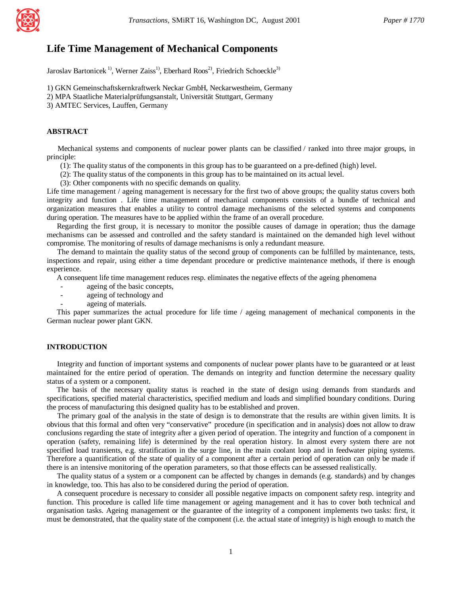

# **Life Time Management of Mechanical Components**

Jaroslav Bartonicek<sup>1)</sup>, Werner Zaiss<sup>1)</sup>, Eberhard Roos<sup>2)</sup>, Friedrich Schoeckle<sup>3)</sup>

1) GKN Gemeinschaftskernkraftwerk Neckar GmbH, Neckarwestheim, Germany 2) MPA Staatliche Materialprüfungsanstalt, Universität Stuttgart, Germany

3) AMTEC Services, Lauffen, Germany

### **ABSTRACT**

 Mechanical systems and components of nuclear power plants can be classified / ranked into three major groups, in principle:

(1): The quality status of the components in this group has to be guaranteed on a pre-defined (high) level.

(2): The quality status of the components in this group has to be maintained on its actual level.

(3): Other components with no specific demands on quality.

Life time management / ageing management is necessary for the first two of above groups; the quality status covers both integrity and function . Life time management of mechanical components consists of a bundle of technical and organization measures that enables a utility to control damage mechanisms of the selected systems and components during operation. The measures have to be applied within the frame of an overall procedure.

 Regarding the first group, it is necessary to monitor the possible causes of damage in operation; thus the damage mechanisms can be assessed and controlled and the safety standard is maintained on the demanded high level without compromise. The monitoring of results of damage mechanisms is only a redundant measure.

 The demand to maintain the quality status of the second group of components can be fulfilled by maintenance, tests, inspections and repair, using either a time dependant procedure or predictive maintenance methods, if there is enough experience.

A consequent life time management reduces resp. eliminates the negative effects of the ageing phenomena

- ageing of the basic concepts,
- ageing of technology and
- ageing of materials.

 This paper summarizes the actual procedure for life time / ageing management of mechanical components in the German nuclear power plant GKN.

# **INTRODUCTION**

 Integrity and function of important systems and components of nuclear power plants have to be guaranteed or at least maintained for the entire period of operation. The demands on integrity and function determine the necessary quality status of a system or a component.

 The basis of the necessary quality status is reached in the state of design using demands from standards and specifications, specified material characteristics, specified medium and loads and simplified boundary conditions. During the process of manufacturing this designed quality has to be established and proven.

 The primary goal of the analysis in the state of design is to demonstrate that the results are within given limits. It is obvious that this formal and often very "conservative" procedure (in specification and in analysis) does not allow to draw conclusions regarding the state of integrity after a given period of operation. The integrity and function of a component in operation (safety, remaining life) is determined by the real operation history. In almost every system there are not specified load transients, e.g. stratification in the surge line, in the main coolant loop and in feedwater piping systems. Therefore a quantification of the state of quality of a component after a certain period of operation can only be made if there is an intensive monitoring of the operation parameters, so that those effects can be assessed realistically.

 The quality status of a system or a component can be affected by changes in demands (e.g. standards) and by changes in knowledge, too. This has also to be considered during the period of operation.

 A consequent procedure is necessary to consider all possible negative impacts on component safety resp. integrity and function. This procedure is called life time management or ageing management and it has to cover both technical and organisation tasks. Ageing management or the guarantee of the integrity of a component implements two tasks: first, it must be demonstrated, that the quality state of the component (i.e. the actual state of integrity) is high enough to match the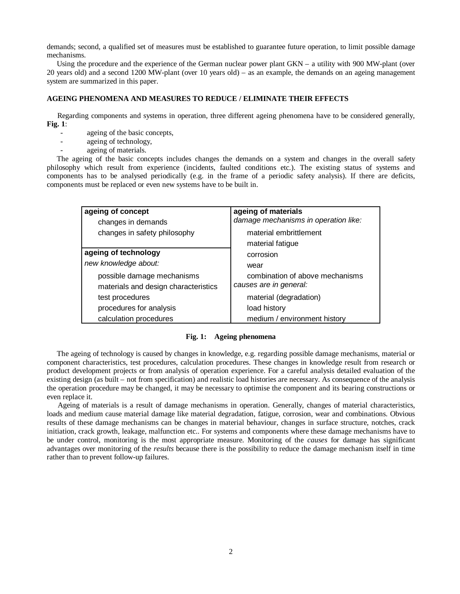demands; second, a qualified set of measures must be established to guarantee future operation, to limit possible damage mechanisms.

 Using the procedure and the experience of the German nuclear power plant GKN – a utility with 900 MW-plant (over 20 years old) and a second 1200 MW-plant (over 10 years old) – as an example, the demands on an ageing management system are summarized in this paper.

# **AGEING PHENOMENA AND MEASURES TO REDUCE / ELIMINATE THEIR EFFECTS**

 Regarding components and systems in operation, three different ageing phenomena have to be considered generally, **Fig. 1**:

- ageing of the basic concepts,
- ageing of technology,
- ageing of materials.

 The ageing of the basic concepts includes changes the demands on a system and changes in the overall safety philosophy which result from experience (incidents, faulted conditions etc.). The existing status of systems and components has to be analysed periodically (e.g. in the frame of a periodic safety analysis). If there are deficits, components must be replaced or even new systems have to be built in.

| ageing of concept<br>changes in demands                            | ageing of materials<br>damage mechanisms in operation like: |  |  |
|--------------------------------------------------------------------|-------------------------------------------------------------|--|--|
| changes in safety philosophy                                       | material embrittlement<br>material fatigue                  |  |  |
| ageing of technology<br>new knowledge about:                       | corrosion<br>wear                                           |  |  |
| possible damage mechanisms<br>materials and design characteristics | combination of above mechanisms<br>causes are in general:   |  |  |
| test procedures                                                    | material (degradation)                                      |  |  |
| procedures for analysis                                            | load history                                                |  |  |
| calculation procedures                                             | medium / environment history                                |  |  |

### **Fig. 1: Ageing phenomena**

 The ageing of technology is caused by changes in knowledge, e.g. regarding possible damage mechanisms, material or component characteristics, test procedures, calculation procedures. These changes in knowledge result from research or product development projects or from analysis of operation experience. For a careful analysis detailed evaluation of the existing design (as built – not from specification) and realistic load histories are necessary. As consequence of the analysis the operation procedure may be changed, it may be necessary to optimise the component and its bearing constructions or even replace it.

 Ageing of materials is a result of damage mechanisms in operation. Generally, changes of material characteristics, loads and medium cause material damage like material degradation, fatigue, corrosion, wear and combinations. Obvious results of these damage mechanisms can be changes in material behaviour, changes in surface structure, notches, crack initiation, crack growth, leakage, malfunction etc.. For systems and components where these damage mechanisms have to be under control, monitoring is the most appropriate measure. Monitoring of the *causes* for damage has significant advantages over monitoring of the *results* because there is the possibility to reduce the damage mechanism itself in time rather than to prevent follow-up failures.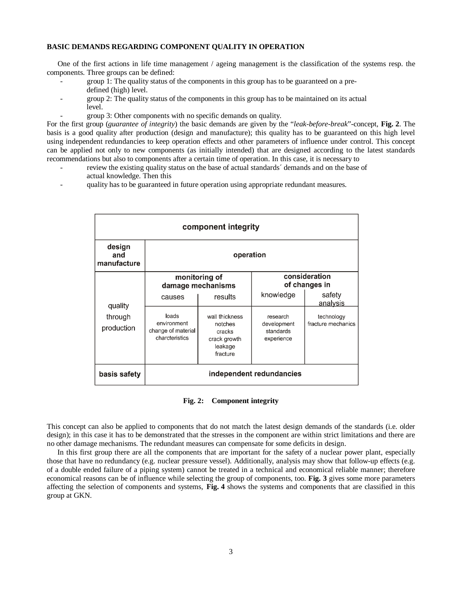### **BASIC DEMANDS REGARDING COMPONENT QUALITY IN OPERATION**

 One of the first actions in life time management / ageing management is the classification of the systems resp. the components. Three groups can be defined:

- group 1: The quality status of the components in this group has to be guaranteed on a predefined (high) level.
- group 2: The quality status of the components in this group has to be maintained on its actual level.
	- group 3: Other components with no specific demands on quality.

For the first group (*guarantee of integrity*) the basic demands are given by the "*leak-before-break*"-concept, **Fig. 2**. The basis is a good quality after production (design and manufacture); this quality has to be guaranteed on this high level using independent redundancies to keep operation effects and other parameters of influence under control. This concept can be applied not only to new components (as initially intended) that are designed according to the latest standards recommendations but also to components after a certain time of operation. In this case, it is necessary to

- review the existing quality status on the base of actual standards<sup> $\epsilon$ </sup> demands and on the base of actual knowledge. Then this
- quality has to be guaranteed in future operation using appropriate redundant measures.

| component integrity          |                                                              |                                                                            |                                                    |                                  |  |
|------------------------------|--------------------------------------------------------------|----------------------------------------------------------------------------|----------------------------------------------------|----------------------------------|--|
| design<br>and<br>manufacture | operation                                                    |                                                                            |                                                    |                                  |  |
|                              | monitoring of<br>damage mechanisms                           |                                                                            | consideration<br>of changes in                     |                                  |  |
| quality                      | causes                                                       | results                                                                    | knowledge                                          | safety<br>analysis               |  |
| through<br>production        | loads<br>environment<br>change of material<br>charcteristics | wall thickness<br>notches<br>cracks<br>crack growth<br>leakage<br>fracture | research<br>development<br>standards<br>experience | technology<br>fracture mechanics |  |
| basis safety                 | independent redundancies                                     |                                                                            |                                                    |                                  |  |

**Fig. 2: Component integrity**

This concept can also be applied to components that do not match the latest design demands of the standards (i.e. older design); in this case it has to be demonstrated that the stresses in the component are within strict limitations and there are no other damage mechanisms. The redundant measures can compensate for some deficits in design.

 In this first group there are all the components that are important for the safety of a nuclear power plant, especially those that have no redundancy (e.g. nuclear pressure vessel). Additionally, analysis may show that follow-up effects (e.g. of a double ended failure of a piping system) cannot be treated in a technical and economical reliable manner; therefore economical reasons can be of influence while selecting the group of components, too. **Fig. 3** gives some more parameters affecting the selection of components and systems, **Fig. 4** shows the systems and components that are classified in this group at GKN.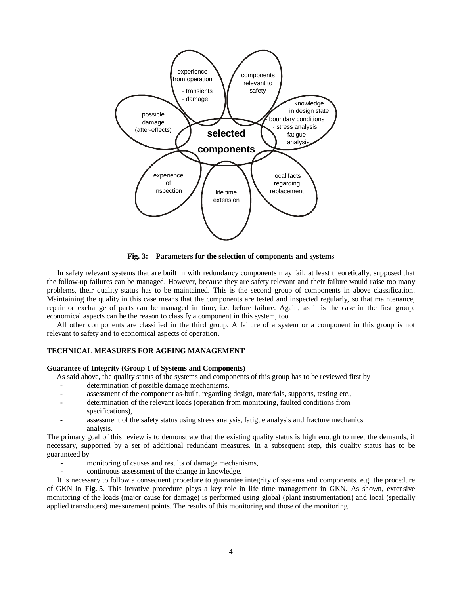

**Fig. 3: Parameters for the selection of components and systems**

 In safety relevant systems that are built in with redundancy components may fail, at least theoretically, supposed that the follow-up failures can be managed. However, because they are safety relevant and their failure would raise too many problems, their quality status has to be maintained. This is the second group of components in above classification. Maintaining the quality in this case means that the components are tested and inspected regularly, so that maintenance, repair or exchange of parts can be managed in time, i.e. before failure. Again, as it is the case in the first group, economical aspects can be the reason to classify a component in this system, too.

 All other components are classified in the third group. A failure of a system or a component in this group is not relevant to safety and to economical aspects of operation.

# **TECHNICAL MEASURES FOR AGEING MANAGEMENT**

#### **Guarantee of Integrity (Group 1 of Systems and Components)**

As said above, the quality status of the systems and components of this group has to be reviewed first by

- determination of possible damage mechanisms,
- assessment of the component as-built, regarding design, materials, supports, testing etc.,
- determination of the relevant loads (operation from monitoring, faulted conditions from specifications),
- assessment of the safety status using stress analysis, fatigue analysis and fracture mechanics analysis.

The primary goal of this review is to demonstrate that the existing quality status is high enough to meet the demands, if necessary, supported by a set of additional redundant measures. In a subsequent step, this quality status has to be guaranteed by

- monitoring of causes and results of damage mechanisms,
- continuous assessment of the change in knowledge.

 It is necessary to follow a consequent procedure to guarantee integrity of systems and components. e.g. the procedure of GKN in **Fig. 5**. This iterative procedure plays a key role in life time management in GKN. As shown, extensive monitoring of the loads (major cause for damage) is performed using global (plant instrumentation) and local (specially applied transducers) measurement points. The results of this monitoring and those of the monitoring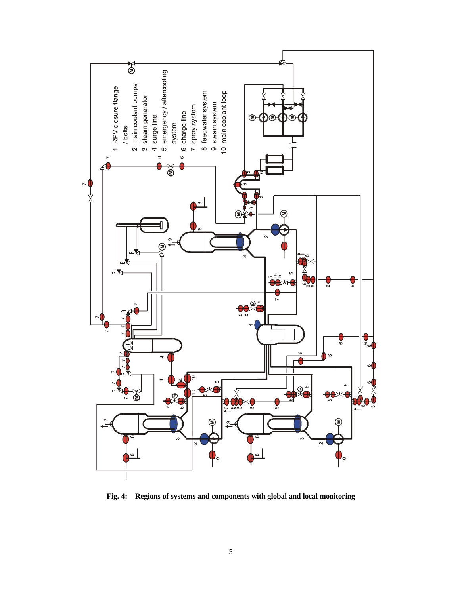

**Fig. 4: Regions of systems and components with global and local monitoring**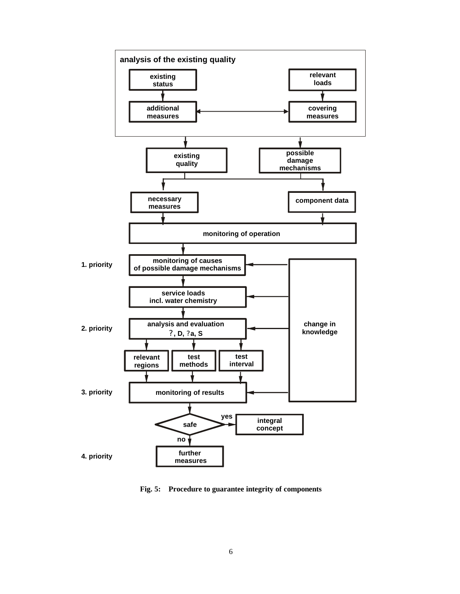

**Fig. 5: Procedure to guarantee integrity of components**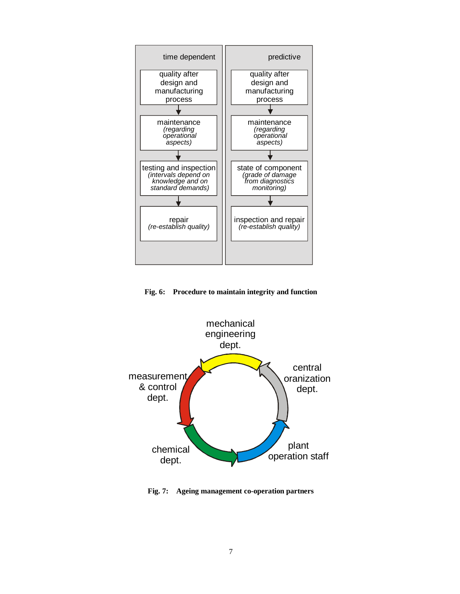

**Fig. 6: Procedure to maintain integrity and function**



**Fig. 7: Ageing management co-operation partners**